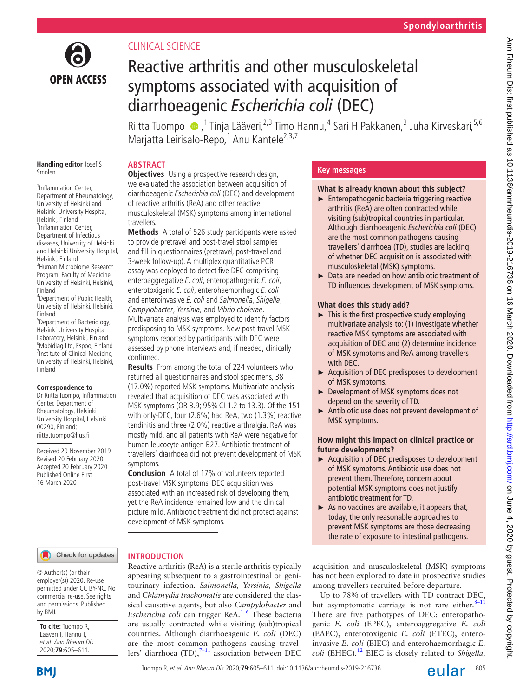

# Clinical science

# Reactive arthritis and other musculoskeletal symptoms associated with acquisition of diarrhoeagenic *Escherichia coli* (DEC)

RiittaTuompo (D, <sup>1</sup> Tinja Lääveri,<sup>2,3</sup> Timo Hannu,<sup>4</sup> Sari H Pakkanen,<sup>3</sup> Juha Kirveskari,<sup>5,6</sup> Marjatta Leirisalo-Repo,<sup>1</sup> Anu Kantele<sup>2,3,7</sup>

#### **Handling editor** Josef S Smolen

<sup>1</sup>Inflammation Center, Department of Rheumatology, University of Helsinki and Helsinki University Hospital, Helsinki, Finland <sup>2</sup>Inflammation Center, Department of Infectious diseases, University of Helsinki and Helsinki University Hospital, Helsinki, Finland 3 Human Microbiome Research Program, Faculty of Medicine, University of Helsinki, Helsinki, Finland

4 Department of Public Health, University of Helsinki, Helsinki, Finland

5 Department of Bacteriology, Helsinki University Hospital Laboratory, Helsinki, Finland <sup>6</sup> Mobidiag Ltd, Espoo, Finland <sup>7</sup>Institute of Clinical Medicine, University of Helsinki, Helsinki, Finland

#### **Correspondence to**

Dr Riitta Tuompo, Inflammation Center, Department of Rheumatology, Helsinki University Hospital, Helsinki 00290, Finland; riitta.tuompo@hus.fi

Received 29 November 2019 Revised 20 February 2020 Accepted 20 February 2020 Published Online First 16 March 2020

# **Abstract**

**Objectives** Using a prospective research design, we evaluated the association between acquisition of diarrhoeagenic Escherichia coli (DEC) and development of reactive arthritis (ReA) and other reactive musculoskeletal (MSK) symptoms among international travellers.

**Methods** A total of 526 study participants were asked to provide pretravel and post-travel stool samples and fill in questionnaires (pretravel, post-travel and 3-week follow-up). A multiplex quantitative PCR assay was deployed to detect five DEC comprising enteroaggregative E. coli, enteropathogenic E. coli, enterotoxigenic E. coli, enterohaemorrhagic E. coli and enteroinvasive E. coli and Salmonella, Shigella, Campylobacter, Yersinia, and Vibrio cholerae. Multivariate analysis was employed to identify factors predisposing to MSK symptoms. New post-travel MSK symptoms reported by participants with DEC were assessed by phone interviews and, if needed, clinically confirmed.

**Results** From among the total of 224 volunteers who returned all questionnaires and stool specimens, 38 (17.0%) reported MSK symptoms. Multivariate analysis revealed that acquisition of DEC was associated with MSK symptoms (OR 3.9; 95%CI 1.2 to 13.3). Of the 151 with only-DEC, four (2.6%) had ReA, two (1.3%) reactive tendinitis and three (2.0%) reactive arthralgia. ReA was mostly mild, and all patients with ReA were negative for human leucocyte antigen B27. Antibiotic treatment of travellers' diarrhoea did not prevent development of MSK symptoms.

**Conclusion** A total of 17% of volunteers reported post-travel MSK symptoms. DEC acquisition was associated with an increased risk of developing them, yet the ReA incidence remained low and the clinical picture mild. Antibiotic treatment did not protect against development of MSK symptoms.

Reactive arthritis (ReA) is a sterile arthritis typically appearing subsequent to a gastrointestinal or genitourinary infection. *Salmonella, Yersinia, Shigella* and *Chlamydia trachomatis* are considered the classical causative agents, but also *Campylobacter* and *Escherichia coli* can trigger ReA.<sup>[1–6](#page-5-0)</sup> These bacteria are usually contracted while visiting (sub)tropical countries. Although diarrhoeagenic *E. coli* (DEC) are the most common pathogens causing travellers' diarrhoea (TD), $7-11$  association between DEC

**Introduction**

#### Check for updates

© Author(s) (or their employer(s)) 2020. Re-use permitted under CC BY-NC. No commercial re-use. See rights and permissions. Published by BMJ.

| <b>To cite:</b> Tuompo R,<br>Lääveri T, Hannu T, |
|--------------------------------------------------|
|                                                  |
| et al. Ann Rheum Dis                             |
| 2020;79:605-611.                                 |

# **Key messages**

# **What is already known about this subject?**

- ► Enteropathogenic bacteria triggering reactive arthritis (ReA) are often contracted while visiting (sub)tropical countries in particular. Although diarrhoeagenic *Escherichia coli* (DEC) are the most common pathogens causing travellers' diarrhoea (TD), studies are lacking of whether DEC acquisition is associated with musculoskeletal (MSK) symptoms.
- ► Data are needed on how antibiotic treatment of TD influences development of MSK symptoms.

# **What does this study add?**

- $\blacktriangleright$  This is the first prospective study employing multivariate analysis to: (1) investigate whether reactive MSK symptoms are associated with acquisition of DEC and (2) determine incidence of MSK symptoms and ReA among travellers with DEC.
- ► Acquisition of DEC predisposes to development of MSK symptoms.
- ► Development of MSK symptoms does not depend on the severity of TD.
- ► Antibiotic use does not prevent development of MSK symptoms.

## **How might this impact on clinical practice or future developments?**

- ► Acquisition of DEC predisposes to development of MSK symptoms. Antibiotic use does not prevent them. Therefore, concern about potential MSK symptoms does not justify antibiotic treatment for TD.
- $\blacktriangleright$  As no vaccines are available, it appears that, today, the only reasonable approaches to prevent MSK symptoms are those decreasing the rate of exposure to intestinal pathogens.

acquisition and musculoskeletal (MSK) symptoms has not been explored to date in prospective studies among travellers recruited before departure.

Up to 78% of travellers with TD contract DEC, but asymptomatic carriage is not rare either. $8-11$ There are five pathotypes of DEC: enteropathogenic *E. coli* (EPEC), enteroaggregative *E. coli* (EAEC), enterotoxigenic *E. coli* (ETEC), enteroinvasive *E. coli* (EIEC) and enterohaemorrhagic *E. coli* (EHEC).[12](#page-5-3) EIEC is closely related to *Shigella,*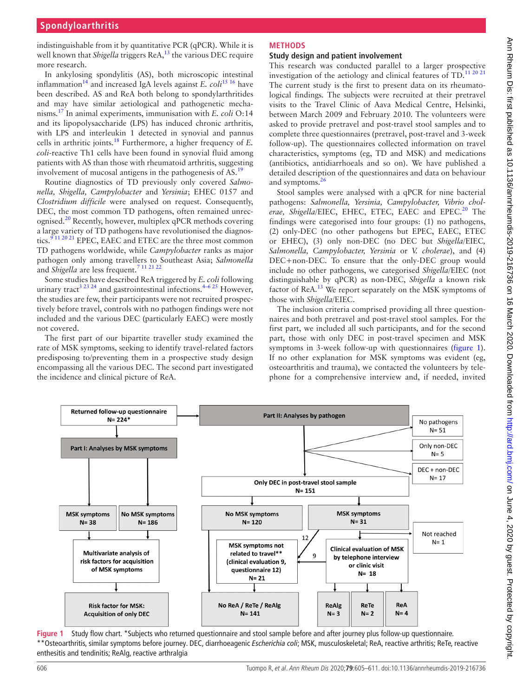indistinguishable from it by quantitative PCR (qPCR). While it is well known that *Shigella* triggers ReA,<sup>13</sup> the various DEC require more research.

In ankylosing spondylitis (AS), both microscopic intestinal inflammation<sup>[14](#page-5-5)</sup> and increased IgA levels against *E. coli*<sup>[15 16](#page-5-6)</sup> have been described. AS and ReA both belong to spondylarthritides and may have similar aetiological and pathogenetic mechanisms.[17](#page-6-0) In animal experiments, immunisation with *E. coli* O:14 and its lipopolysaccharide (LPS) has induced chronic arthritis, with LPS and interleukin 1 detected in synovial and pannus cells in arthritic joints.[18](#page-6-1) Furthermore, a higher frequency of *E. coli*-reactive Th1 cells have been found in synovial fluid among patients with AS than those with rheumatoid arthritis, suggesting involvement of mucosal antigens in the pathogenesis of AS.<sup>19</sup>

Routine diagnostics of TD previously only covered *Salmonella, Shigella, Campylobacter* and *Yersinia*; EHEC 0157 and *Clostridium difficile* were analysed on request. Consequently, DEC, the most common TD pathogens, often remained unrecognised.[20](#page-6-3) Recently, however, multiplex qPCR methods covering a large variety of TD pathogens have revolutionised the diagnostics.<sup>9 11 20 21</sup> EPEC, EAEC and ETEC are the three most common TD pathogens worldwide, while *Campylobacter* ranks as major pathogen only among travellers to Southeast Asia; *Salmonella* and *Shigella* are less frequent.[7 11 21 22](#page-5-1)

Some studies have described ReA triggered by *E. coli* following urinary tract<sup>3 23 24</sup> and gastrointestinal infections.<sup>4–6 25</sup> However, the studies are few, their participants were not recruited prospectively before travel, controls with no pathogen findings were not included and the various DEC (particularly EAEC) were mostly not covered.

The first part of our bipartite traveller study examined the rate of MSK symptoms, seeking to identify travel-related factors predisposing to/preventing them in a prospective study design encompassing all the various DEC. The second part investigated the incidence and clinical picture of ReA.

# **Methods**

## **Study design and patient involvement**

This research was conducted parallel to a larger prospective investigation of the aetiology and clinical features of  $TD<sup>11 20 21</sup>$  $TD<sup>11 20 21</sup>$  $TD<sup>11 20 21</sup>$ The current study is the first to present data on its rheumatological findings. The subjects were recruited at their pretravel visits to the Travel Clinic of Aava Medical Centre, Helsinki, between March 2009 and February 2010. The volunteers were asked to provide pretravel and post-travel stool samples and to complete three questionnaires (pretravel, post-travel and 3-week follow-up). The questionnaires collected information on travel characteristics, symptoms (eg, TD and MSK) and medications (antibiotics, antidiarrhoeals and so on). We have published a detailed description of the questionnaires and data on behaviour and symptoms.<sup>2</sup>

Stool samples were analysed with a qPCR for nine bacterial pathogens: *Salmonella, Yersinia, Campylobacter, Vibrio chol*erae, Shigella/EIEC, EHEC, ETEC, EAEC and EPEC.<sup>20</sup> The findings were categorised into four groups: (1) no pathogens, (2) only-DEC (no other pathogens but EPEC, EAEC, ETEC or EHEC), (3) only non-DEC (no DEC but *Shigella/*EIEC*, Salmonella, Campylobacter, Yersinia* or *V. cholerae*), and (4) DEC+non-DEC. To ensure that the only-DEC group would include no other pathogens, we categorised *Shigella/*EIEC (not distinguishable by qPCR) as non-DEC, *Shigella* a known risk factor of ReA.<sup>[13](#page-5-4)</sup> We report separately on the MSK symptoms of those with *Shigella/*EIEC.

The inclusion criteria comprised providing all three questionnaires and both pretravel and post-travel stool samples. For the first part, we included all such participants, and for the second part, those with only DEC in post-travel specimen and MSK symptoms in 3-week follow-up with questionnaires ([figure](#page-1-0) 1). If no other explanation for MSK symptoms was evident (eg, osteoarthritis and trauma), we contacted the volunteers by telephone for a comprehensive interview and, if needed, invited



<span id="page-1-0"></span>**Figure 1** Study flow chart. \*Subjects who returned questionnaire and stool sample before and after journey plus follow-up questionnaire. \*\*Osteoarthritis, similar symptoms before journey. DEC, diarrhoeagenic *Escherichia coli*; MSK, musculoskeletal; ReA, reactive arthritis; ReTe, reactive enthesitis and tendinitis; ReAlg, reactive arthralgia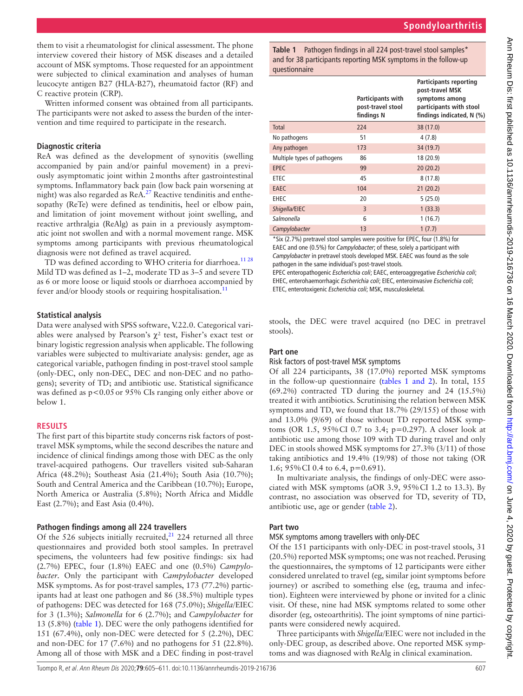them to visit a rheumatologist for clinical assessment. The phone interview covered their history of MSK diseases and a detailed account of MSK symptoms. Those requested for an appointment were subjected to clinical examination and analyses of human leucocyte antigen B27 (HLA-B27), rheumatoid factor (RF) and C reactive protein (CRP).

Written informed consent was obtained from all participants. The participants were not asked to assess the burden of the intervention and time required to participate in the research.

#### **Diagnostic criteria**

ReA was defined as the development of synovitis (swelling accompanied by pain and/or painful movement) in a previously asymptomatic joint within 2months after gastrointestinal symptoms. Inflammatory back pain (low back pain worsening at night) was also regarded as ReA.<sup>27</sup> Reactive tendinitis and enthesopathy (ReTe) were defined as tendinitis, heel or elbow pain, and limitation of joint movement without joint swelling, and reactive arthralgia (ReAlg) as pain in a previously asymptomatic joint not swollen and with a normal movement range. MSK symptoms among participants with previous rheumatological diagnosis were not defined as travel acquired.

TD was defined according to WHO criteria for diarrhoea.<sup>1128</sup> Mild TD was defined as 1–2, moderate TD as 3–5 and severe TD as 6 or more loose or liquid stools or diarrhoea accompanied by fever and/or bloody stools or requiring hospitalisation.<sup>[11](#page-5-10)</sup>

#### **Statistical analysis**

Data were analysed with SPSS software, V.22.0. Categorical variables were analysed by Pearson's  $\chi^2$  test, Fisher's exact test or binary logistic regression analysis when applicable. The following variables were subjected to multivariate analysis: gender, age as categorical variable, pathogen finding in post-travel stool sample (only-DEC, only non-DEC, DEC and non-DEC and no pathogens); severity of TD; and antibiotic use. Statistical significance was defined as  $p<0.05$  or 95% CIs ranging only either above or below 1.

## **Results**

The first part of this bipartite study concerns risk factors of posttravel MSK symptoms, while the second describes the nature and incidence of clinical findings among those with DEC as the only travel-acquired pathogens. Our travellers visited sub-Saharan Africa (48.2%); Southeast Asia (21.4%); South Asia (10.7%); South and Central America and the Caribbean (10.7%); Europe, North America or Australia (5.8%); North Africa and Middle East (2.7%); and East Asia (0.4%).

## **Pathogen findings among all 224 travellers**

Of the 526 subjects initially recruited, $21$  224 returned all three questionnaires and provided both stool samples. In pretravel specimens, the volunteers had few positive findings: six had (2.7%) EPEC, four (1.8%) EAEC and one (0.5%) *Campylobacter*. Only the participant with *Campylobacter* developed MSK symptoms. As for post-travel samples, 173 (77.2%) participants had at least one pathogen and 86 (38.5%) multiple types of pathogens: DEC was detected for 168 (75.0%); *Shigella*/EIEC for 3 (1.3%); *Salmonella* for 6 (2.7%); and *Campylobacter* for 13 (5.8%) [\(table](#page-2-0) 1). DEC were the only pathogens identified for 151 (67.4%), only non-DEC were detected for 5 (2.2%), DEC and non-DEC for 17 (7.6%) and no pathogens for 51 (22.8%). Among all of those with MSK and a DEC finding in post-travel <span id="page-2-0"></span>**Table 1** Pathogen findings in all 224 post-travel stool samples\* and for 38 participants reporting MSK symptoms in the follow-up questionnaire

|                             | Participants with<br>post-travel stool<br>findings N | <b>Participants reporting</b><br>post-travel MSK<br>symptoms among<br>participants with stool<br>findings indicated, N (%) |
|-----------------------------|------------------------------------------------------|----------------------------------------------------------------------------------------------------------------------------|
| Total                       | 224                                                  | 38 (17.0)                                                                                                                  |
| No pathogens                | 51                                                   | 4(7.8)                                                                                                                     |
| Any pathogen                | 173                                                  | 34 (19.7)                                                                                                                  |
| Multiple types of pathogens | 86                                                   | 18 (20.9)                                                                                                                  |
| <b>EPEC</b>                 | 99                                                   | 20(20.2)                                                                                                                   |
| ETEC                        | 45                                                   | 8(17.8)                                                                                                                    |
| EAEC                        | 104                                                  | 21(20.2)                                                                                                                   |
| EHEC                        | 20                                                   | 5(25.0)                                                                                                                    |
| Shigella/EIEC               | $\overline{3}$                                       | 1(33.3)                                                                                                                    |
| Salmonella                  | 6                                                    | 1(16.7)                                                                                                                    |
| Campylobacter               | 13                                                   | 1(7.7)                                                                                                                     |

\*Six (2.7%) pretravel stool samples were positive for EPEC, four (1.8%) for EAEC and one (0.5%) for *Campylobacter*; of these, solely a participant with *Campylobacter* in pretravel stools developed MSK. EAEC was found as the sole pathogen in the same individual's post-travel stools.

EPEC enteropathogenic *Escherichia coli*; EAEC, enteroaggregative *Escherichia coli*; EHEC, enterohaemorrhagic *Escherichia coli*; EIEC, enteroinvasive *Escherichia coli*; ETEC, enterotoxigenic *Escherichia coli*; MSK, musculoskeletal.

stools, the DEC were travel acquired (no DEC in pretravel stools).

## **Part one**

## Risk factors of post-travel MSK symptoms

Of all 224 participants, 38 (17.0%) reported MSK symptoms in the follow-up questionnaire (tables [1 and 2\)](#page-2-0). In total, 155 (69.2%) contracted TD during the journey and 24 (15.5%) treated it with antibiotics. Scrutinising the relation between MSK symptoms and TD, we found that 18.7% (29/155) of those with and 13.0% (9/69) of those without TD reported MSK symptoms (OR 1.5, 95%CI 0.7 to 3.4; p=0.297). A closer look at antibiotic use among those 109 with TD during travel and only DEC in stools showed MSK symptoms for 27.3% (3/11) of those taking antibiotics and 19.4% (19/98) of those not taking (OR 1.6; 95%CI 0.4 to 6.4, p=0.691).

In multivariate analysis, the findings of only-DEC were associated with MSK symptoms (aOR 3.9, 95%CI 1.2 to 13.3). By contrast, no association was observed for TD, severity of TD, antibiotic use, age or gender [\(table](#page-3-0) 2).

## **Part two**

## MSK symptoms among travellers with only-DEC

Of the 151 participants with only-DEC in post-travel stools, 31 (20.5%) reported MSK symptoms; one was not reached. Perusing the questionnaires, the symptoms of 12 participants were either considered unrelated to travel (eg, similar joint symptoms before journey) or ascribed to something else (eg, trauma and infection). Eighteen were interviewed by phone or invited for a clinic visit. Of these, nine had MSK symptoms related to some other disorder (eg, osteoarthritis). The joint symptoms of nine participants were considered newly acquired.

Three participants with *Shigella/*EIEC were not included in the only-DEC group, as described above. One reported MSK symptoms and was diagnosed with ReAlg in clinical examination.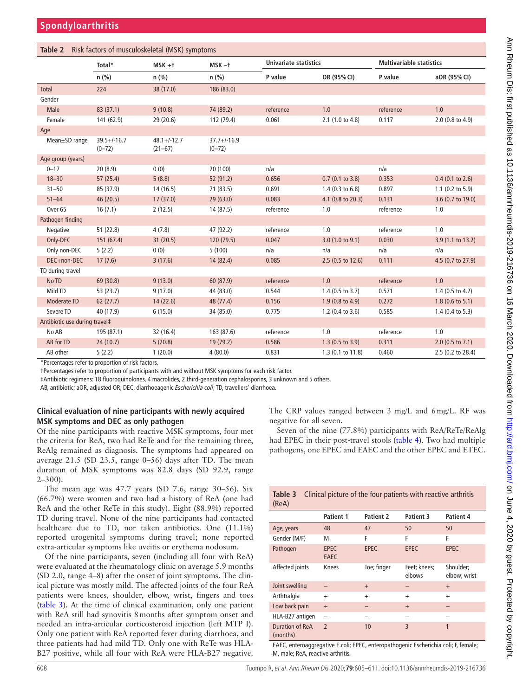<span id="page-3-0"></span>

| Risk factors of musculoskeletal (MSK) symptoms<br>Table 2 |                                                 |                               |                             |                              |                            |                                 |                             |
|-----------------------------------------------------------|-------------------------------------------------|-------------------------------|-----------------------------|------------------------------|----------------------------|---------------------------------|-----------------------------|
|                                                           | Total*                                          | $MSK + t$                     | $MSK -+$                    | <b>Univariate statistics</b> |                            | <b>Multivariable statistics</b> |                             |
|                                                           | $n$ (%)                                         | $n$ (%)                       | n (%)                       | P value                      | OR (95% CI)                | P value                         | aOR (95% CI)                |
| <b>Total</b>                                              | 224                                             | 38 (17.0)                     | 186 (83.0)                  |                              |                            |                                 |                             |
| Gender                                                    |                                                 |                               |                             |                              |                            |                                 |                             |
| Male                                                      | 83(37.1)                                        | 9(10.8)                       | 74 (89.2)                   | reference                    | 1.0                        | reference                       | 1.0                         |
| Female                                                    | 141 (62.9)                                      | 29(20.6)                      | 112 (79.4)                  | 0.061                        | 2.1 (1.0 to 4.8)           | 0.117                           | 2.0 (0.8 to 4.9)            |
| Age                                                       |                                                 |                               |                             |                              |                            |                                 |                             |
| Mean±SD range                                             | $39.5 + / - 16.7$<br>$(0 - 72)$                 | $48.1 + (-12.7)$<br>$(21-67)$ | $37.7 + 16.9$<br>$(0 - 72)$ |                              |                            |                                 |                             |
| Age group (years)                                         |                                                 |                               |                             |                              |                            |                                 |                             |
| $0 - 17$                                                  | 20(8.9)                                         | 0(0)                          | 20 (100)                    | n/a                          |                            | n/a                             |                             |
| $18 - 30$                                                 | 57(25.4)                                        | 5(8.8)                        | 52 (91.2)                   | 0.656                        | $0.7$ (0.1 to 3.8)         | 0.353                           | $0.4$ (0.1 to 2.6)          |
| $31 - 50$                                                 | 85 (37.9)                                       | 14(16.5)                      | 71 (83.5)                   | 0.691                        | $1.4$ (0.3 to 6.8)         | 0.897                           | 1.1 $(0.2 \text{ to } 5.9)$ |
| $51 - 64$                                                 | 46(20.5)                                        | 17(37.0)                      | 29(63.0)                    | 0.083                        | 4.1 (0.8 to 20.3)          | 0.131                           | 3.6 (0.7 to 19.0)           |
| Over <sub>65</sub>                                        | 16(7.1)                                         | 2(12.5)                       | 14 (87.5)                   | reference                    | 1.0                        | reference                       | 1.0                         |
| Pathogen finding                                          |                                                 |                               |                             |                              |                            |                                 |                             |
| Negative                                                  | 51(22.8)                                        | 4(7.8)                        | 47 (92.2)                   | reference                    | 1.0                        | reference                       | 1.0                         |
| Only-DEC                                                  | 151 (67.4)                                      | 31(20.5)                      | 120 (79.5)                  | 0.047                        | 3.0 (1.0 to 9.1)           | 0.030                           | 3.9 (1.1 to 13.2)           |
| Only non-DEC                                              | 5(2.2)                                          | 0(0)                          | 5(100)                      | n/a                          | n/a                        | n/a                             | n/a                         |
| DEC+non-DEC                                               | 17(7.6)                                         | 3(17.6)                       | 14 (82.4)                   | 0.085                        | 2.5 (0.5 to 12.6)          | 0.111                           | 4.5 (0.7 to 27.9)           |
| TD during travel                                          |                                                 |                               |                             |                              |                            |                                 |                             |
| No TD                                                     | 69 (30.8)                                       | 9(13.0)                       | 60 (87.9)                   | reference                    | 1.0                        | reference                       | 1.0                         |
| Mild TD                                                   | 53 (23.7)                                       | 9(17.0)                       | 44 (83.0)                   | 0.544                        | $1.4$ (0.5 to 3.7)         | 0.571                           | 1.4 $(0.5 \text{ to } 4.2)$ |
| Moderate TD                                               | 62(27.7)                                        | 14(22.6)                      | 48 (77.4)                   | 0.156                        | $1.9(0.8 \text{ to } 4.9)$ | 0.272                           | $1.8(0.6 \text{ to } 5.1)$  |
| Severe TD                                                 | 40 (17.9)                                       | 6(15.0)                       | 34 (85.0)                   | 0.775                        | 1.2 (0.4 to 3.6)           | 0.585                           | $1.4$ (0.4 to 5.3)          |
| Antibiotic use during travel#                             |                                                 |                               |                             |                              |                            |                                 |                             |
| No AB                                                     | 195 (87.1)                                      | 32 (16.4)                     | 163 (87.6)                  | reference                    | 1.0                        | reference                       | 1.0                         |
| AB for TD                                                 | 24(10.7)                                        | 5(20.8)                       | 19 (79.2)                   | 0.586                        | $1.3(0.5 \text{ to } 3.9)$ | 0.311                           | $2.0$ (0.5 to 7.1)          |
| AB other                                                  | 5(2.2)                                          | 1(20.0)                       | 4(80.0)                     | 0.831                        | 1.3 (0.1 to 11.8)          | 0.460                           | 2.5 (0.2 to 28.4)           |
|                                                           | *Doventones refer to proportion of rick fosters |                               |                             |                              |                            |                                 |                             |

Percentages refer to proportion of risk factors.

†Percentages refer to proportion of participants with and without MSK symptoms for each risk factor.

‡Antibiotic regimens: 18 fluoroquinolones, 4 macrolides, 2 third-generation cephalosporins, 3 unknown and 5 others.

AB, antibiotic; aOR, adjusted OR; DEC, diarrhoeagenic *Escherichia coli*; TD, travellers' diarrhoea.

## **Clinical evaluation of nine participants with newly acquired MSK symptoms and DEC as only pathogen**

Of the nine participants with reactive MSK symptoms, four met the criteria for ReA, two had ReTe and for the remaining three, ReAlg remained as diagnosis. The symptoms had appeared on average 21.5 (SD 23.5, range 0–56) days after TD. The mean duration of MSK symptoms was 82.8 days (SD 92.9, range  $2 - 300$ ).

The mean age was 47.7 years (SD 7.6, range 30–56). Six (66.7%) were women and two had a history of ReA (one had ReA and the other ReTe in this study). Eight (88.9%) reported TD during travel. None of the nine participants had contacted healthcare due to TD, nor taken antibiotics. One (11.1%) reported urogenital symptoms during travel; none reported extra-articular symptoms like uveitis or erythema nodosum.

Of the nine participants, seven (including all four with ReA) were evaluated at the rheumatology clinic on average 5.9 months (SD 2.0, range 4–8) after the onset of joint symptoms. The clinical picture was mostly mild. The affected joints of the four ReA patients were knees, shoulder, elbow, wrist, fingers and toes ([table](#page-3-1) 3). At the time of clinical examination, only one patient with ReA still had synovitis 8months after symptom onset and needed an intra-articular corticosteroid injection (left MTP I). Only one patient with ReA reported fever during diarrhoea, and three patients had had mild TD. Only one with ReTe was HLA-B27 positive, while all four with ReA were HLA-B27 negative.

The CRP values ranged between 3 mg/L and 6mg/L. RF was negative for all seven.

Seven of the nine (77.8%) participants with ReA/ReTe/ReAlg had EPEC in their post-travel stools [\(table](#page-4-0) 4). Two had multiple pathogens, one EPEC and EAEC and the other EPEC and ETEC.

<span id="page-3-1"></span>

| Table 3<br>Clinical picture of the four patients with reactive arthritis<br>(ReA) |                            |                  |                        |                           |  |  |
|-----------------------------------------------------------------------------------|----------------------------|------------------|------------------------|---------------------------|--|--|
|                                                                                   | <b>Patient 1</b>           | <b>Patient 2</b> | Patient 3              | Patient 4                 |  |  |
| Age, years                                                                        | 48                         | 47               | 50                     | 50                        |  |  |
| Gender (M/F)                                                                      | M                          | F                | F                      | F                         |  |  |
| Pathogen                                                                          | <b>EPEC</b><br><b>EAEC</b> | <b>EPEC</b>      | <b>EPEC</b>            | <b>EPEC</b>               |  |  |
| Affected joints                                                                   | Knees                      | Toe; finger      | Feet; knees;<br>elbows | Shoulder;<br>elbow; wrist |  |  |
| Joint swelling                                                                    |                            | $+$              |                        | $+$                       |  |  |
| Arthtralgia                                                                       | $^{+}$                     | $+$              | $^{+}$                 | $^{+}$                    |  |  |
| Low back pain                                                                     | $+$                        |                  | $+$                    |                           |  |  |
| HLA-B27 antigen                                                                   | ÷                          |                  |                        |                           |  |  |
| Duration of ReA<br>(months)                                                       | $\overline{\phantom{0}}$   | 10               | $\overline{3}$         | 1                         |  |  |

EAEC, enteroaggregative E.coli; EPEC, enteropathogenic Escherichia coli; F, female; M, male; ReA, reactive arthritis.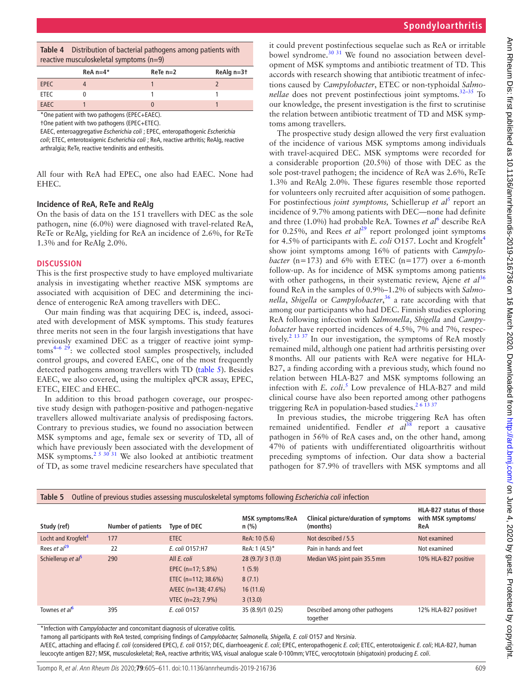<span id="page-4-0"></span>

| <b>Table 4</b> Distribution of bacterial pathogens among patients with |
|------------------------------------------------------------------------|
| reactive musculoskeletal symptoms $(n=9)$                              |

|             | $ReA n=4*$ | $ReTe$ n=2 | ReAlg n=3t |  |
|-------------|------------|------------|------------|--|
| <b>EPEC</b> |            |            |            |  |
| <b>ETEC</b> |            |            |            |  |
| EAEC        |            |            |            |  |
|             |            |            |            |  |

One patient with two pathogens (EPEC+EAEC). †One patient with two pathogens (EPEC+ETEC).

EAEC, enteroaggregative *Escherichia coli* ; EPEC, enteropathogenic *Escherichia coli*; ETEC, enterotoxigenic *Escherichia coli* ; ReA, reactive arthritis; ReAlg, reactive arthralgia; ReTe, reactive tendinitis and enthesitis.

All four with ReA had EPEC, one also had EAEC. None had EHEC.

#### **Incidence of ReA, ReTe and ReAlg**

On the basis of data on the 151 travellers with DEC as the sole pathogen, nine (6.0%) were diagnosed with travel-related ReA, ReTe or ReAlg, yielding for ReA an incidence of 2.6%, for ReTe 1.3% and for ReAIg 2.0%.

#### **Discussion**

This is the first prospective study to have employed multivariate analysis in investigating whether reactive MSK symptoms are associated with acquisition of DEC and determining the incidence of enterogenic ReA among travellers with DEC.

Our main finding was that acquiring DEC is, indeed, associated with development of MSK symptoms. This study features three merits not seen in the four largish investigations that have previously examined DEC as a trigger of reactive joint symp $t$ <sub>c</sub>  $\frac{4}{6}$   $\frac{29}{2}$ : we collected stool samples prospectively, included control groups, and covered EAEC, one of the most frequently detected pathogens among travellers with TD ([table](#page-4-1) 5). Besides EAEC, we also covered, using the multiplex qPCR assay, EPEC, ETEC, EIEC and EHEC.

In addition to this broad pathogen coverage, our prospective study design with pathogen-positive and pathogen-negative travellers allowed multivariate analysis of predisposing factors. Contrary to previous studies, we found no association between MSK symptoms and age, female sex or severity of TD, all of which have previously been associated with the development of MSK symptoms.<sup>2 5 30'31</sup> We also looked at antibiotic treatment of TD, as some travel medicine researchers have speculated that

it could prevent postinfectious sequelae such as ReA or irritable bowel syndrome.<sup>[30 31](#page-6-8)</sup> We found no association between development of MSK symptoms and antibiotic treatment of TD. This accords with research showing that antibiotic treatment of infections caused by *Campylobacter*, ETEC or non-typhoidal *Salmonellae* does not prevent postinfectious joint symptoms.<sup>32-35</sup> To our knowledge, the present investigation is the first to scrutinise the relation between antibiotic treatment of TD and MSK symptoms among travellers.

The prospective study design allowed the very first evaluation of the incidence of various MSK symptoms among individuals with travel-acquired DEC. MSK symptoms were recorded for a considerable proportion (20.5%) of those with DEC as the sole post-travel pathogen; the incidence of ReA was 2.6%, ReTe 1.3% and ReAlg 2.0%. These figures resemble those reported for volunteers only recruited after acquisition of some pathogen. For postinfectious *joint symptoms*, Schiellerup *et al*<sup>[5](#page-5-11)</sup> report an incidence of 9.7% among patients with DEC—none had definite and three (1.0%) had probable ReA. Townes *et al*<sup>[6](#page-5-12)</sup> describe ReA for 0.25%, and Rees *et al*<sup>29</sup> report prolonged joint symptoms for [4](#page-5-9).5% of participants with *E. coli* O157. Locht and Krogfelt<sup>4</sup> show joint symptoms among 16% of patients with *Campylobacter* ( $n=173$ ) and 6% with ETEC ( $n=177$ ) over a 6-month follow-up. As for incidence of MSK symptoms among patients with other pathogens, in their systematic review, Ajene *et al*<sup>[36](#page-6-10)</sup> found ReA in the samples of 0.9%–1.2% of subjects with *Salmonella*, *Shigella* or *Campylobacter*, [36](#page-6-10) a rate according with that among our participants who had DEC. Finnish studies exploring ReA following infection with *Salmonella*, *Shigella* and *Campylobacter* have reported incidences of 4.5%, 7% and 7%, respectively.<sup>2 13 37</sup> In our investigation, the symptoms of ReA mostly remained mild, although one patient had arthritis persisting over 8months. All our patients with ReA were negative for HLA-B27, a finding according with a previous study, which found no relation between HLA-B27 and MSK symptoms following an infection with *E. coli*. [5](#page-5-11) Low prevalence of HLA-B27 and mild clinical course have also been reported among other pathogens triggering ReA in population-based studies.<sup>2 6 13 37</sup>

In previous studies, the microbe triggering ReA has often remained unidentified. Fendler *et al*<sup>[38](#page-6-11)</sup> report a causative pathogen in 56% of ReA cases and, on the other hand, among 47% of patients with undifferentiated oligoarthritis without preceding symptoms of infection. Our data show a bacterial pathogen for 87.9% of travellers with MSK symptoms and all

| Study (ref)                     | <b>Number of patients</b> | Type of DEC            | <b>MSK symptoms/ReA</b><br>$n$ (%) | Clinical picture/duration of symptoms<br>(months) | HLA-B27 status of those<br>with MSK symptoms/<br>ReA |
|---------------------------------|---------------------------|------------------------|------------------------------------|---------------------------------------------------|------------------------------------------------------|
| Locht and Krogfelt <sup>4</sup> | 177                       | <b>ETEC</b>            | ReA: 10 (5.6)                      | Not described / 5.5                               | Not examined                                         |
| Rees et $al^{29}$               | 22                        | E. coli 0157:H7        | ReA: $1(4.5)^*$                    | Pain in hands and feet                            | Not examined                                         |
| Schiellerup et al <sup>b</sup>  | 290                       | All E. coli            | 28(9.7)/3(1.0)                     | Median VAS joint pain 35.5 mm                     | 10% HLA-B27 positive                                 |
|                                 |                           | EPEC (n=17; 5.8%)      | 1(5.9)                             |                                                   |                                                      |
|                                 |                           | ETEC $(n=112; 38.6\%)$ | 8(7.1)                             |                                                   |                                                      |
|                                 |                           | A/EEC (n=138; 47.6%)   | 16(11.6)                           |                                                   |                                                      |
|                                 |                           | VTEC (n=23; 7.9%)      | 3(13.0)                            |                                                   |                                                      |
| Townes et al <sup>b</sup>       | 395                       | E. coli 0157           | 35 (8.9)/1 (0.25)                  | Described among other pathogens<br>together       | 12% HLA-B27 positivet                                |

\*Infection with *Campylobacter* and concomitant diagnosis of ulcerative colitis.

†among all participants with ReA tested, comprising findings of *Campylobacter, Salmonella, Shigella, E. coli* O157 and *Yersinia*.

<span id="page-4-1"></span>**Table 5** Outline of previous studies assessing musculoskeletal symptoms following *Escherichia coli* infection

A/EEC, attaching and effacing *E. coli* (considered EPEC), *E. coli* O157; DEC, diarrhoeagenic *E. coli*; EPEC, enteropathogenic *E. coli*; ETEC, enterotoxigenic *E. coli*; HLA-B27, human leucocyte antigen B27; MSK, musculoskeletal; ReA, reactive arthritis; VAS, visual analogue scale 0-100mm; VTEC, verocytotoxin (shigatoxin) producing *E. coli*.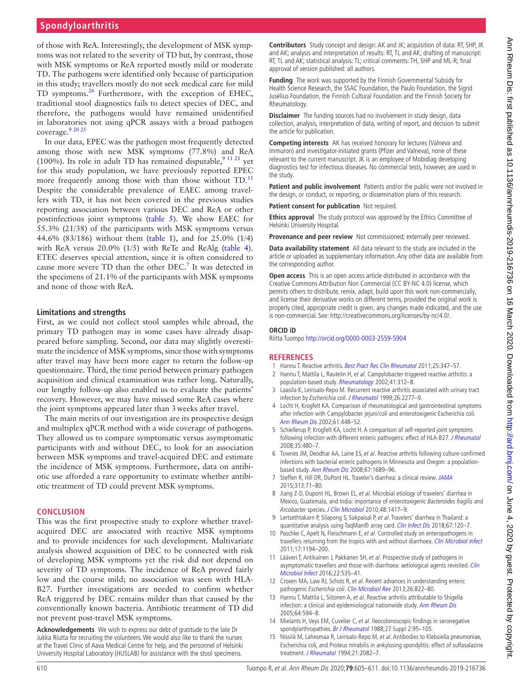## **Spondyloarthritis**

of those with ReA. Interestingly, the development of MSK symptoms was not related to the severity of TD but, by contrast, those with MSK symptoms or ReA reported mostly mild or moderate TD. The pathogens were identified only because of participation in this study; travellers mostly do not seek medical care for mild TD symptoms.<sup>26</sup> Furthermore, with the exception of EHEC, traditional stool diagnostics fails to detect species of DEC, and therefore, the pathogens would have remained unidentified in laboratories not using qPCR assays with a broad pathogen coverage.<sup>9</sup> 20 25

In our data, EPEC was the pathogen most frequently detected among those with new MSK symptoms (77.8%) and ReA (100%). Its role in adult TD has remained disputable,  $91121$  yet for this study population, we have previously reported EPEC more frequently among those with than those without TD.<sup>[11](#page-5-10)</sup> Despite the considerable prevalence of EAEC among travellers with TD, it has not been covered in the previous studies reporting association between various DEC and ReA or other postinfectious joint symptoms [\(table](#page-4-1) 5). We show EAEC for 55.3% (21/38) of the participants with MSK symptoms versus 44.6% (83/186) without them ([table](#page-2-0) 1), and for 25.0% (1/4) with ReA versus 20.0% (1/5) with ReTe and ReAlg ([table](#page-4-0) 4). ETEC deserves special attention, since it is often considered to cause more severe TD than the other DEC.<sup>[7](#page-5-1)</sup> It was detected in the specimens of 21.1% of the participants with MSK symptoms and none of those with ReA.

#### **Limitations and strengths**

First, as we could not collect stool samples while abroad, the primary TD pathogen may in some cases have already disappeared before sampling. Second, our data may slightly overestimate the incidence of MSK symptoms, since those with symptoms after travel may have been more eager to return the follow-up questionnaire. Third, the time period between primary pathogen acquisition and clinical examination was rather long. Naturally, our lengthy follow-up also enabled us to evaluate the patients' recovery. However, we may have missed some ReA cases where the joint symptoms appeared later than 3weeks after travel.

The main merits of our investigation are its prospective design and multiplex qPCR method with a wide coverage of pathogens. They allowed us to compare symptomatic versus asymptomatic participants with and without DEC, to look for an association between MSK symptoms and travel-acquired DEC and estimate the incidence of MSK symptoms. Furthermore, data on antibiotic use afforded a rare opportunity to estimate whether antibiotic treatment of TD could prevent MSK symptoms.

#### **Conclusion**

This was the first prospective study to explore whether travelacquired DEC are associated with reactive MSK symptoms and to provide incidences for such development. Multivariate analysis showed acquisition of DEC to be connected with risk of developing MSK symptoms yet the risk did not depend on severity of TD symptoms. The incidence of ReA proved fairly low and the course mild; no association was seen with HLA-B27. Further investigations are needed to confirm whether ReA triggered by DEC remains milder than that caused by the conventionally known bacteria. Antibiotic treatment of TD did not prevent post-travel MSK symptoms.

**Acknowledgements** We wish to express our debt of gratitude to the late Dr Jukka Riutta for recruiting the volunteers. We would also like to thank the nurses at the Travel Clinic of Aava Medical Centre for help, and the personnel of Helsinki University Hospital Laboratory (HUSLAB) for assistance with the stool specimens.

**Contributors** Study concept and design: AK and JK; acquisition of data: RT, SHP, JK and AK; analysis and interpretation of results: RT, TL and AK; drafting of manuscript: RT, TL and AK; statistical analysis: TL; critical comments: TH, SHP and ML-R; final approval of version published: all authors.

**Funding** The work was supported by the Finnish Governmental Subsidy for Health Science Research, the SSAC Foundation, the Paulo Foundation, the Sigrid Jusélius Foundation, the Finnish Cultural Foundation and the Finnish Society for Rheumatology.

**Disclaimer** The funding sources had no involvement in study design, data collection, analysis, interpretation of data, writing of report, and decision to submit the article for publication.

**Competing interests** AK has received honorary for lectures (Valneva and Immuron) and investigator-initiated grants (Pfizer and Valneva), none of these relevant to the current manuscript. JK is an employee of Mobidiag developing diagnostics test for infectious diseases. No commercial tests, however, are used in the study.

**Patient and public involvement** Patients and/or the public were not involved in the design, or conduct, or reporting, or dissemination plans of this research.

**Patient consent for publication** Not required.

**Ethics approval** The study protocol was approved by the Ethics Committee of Helsinki University Hospital.

**Provenance and peer review** Not commissioned; externally peer reviewed.

**Data availability statement** All data relevant to the study are included in the article or uploaded as supplementary information. Any other data are available from the corresponding author.

**Open access** This is an open access article distributed in accordance with the Creative Commons Attribution Non Commercial (CC BY-NC 4.0) license, which permits others to distribute, remix, adapt, build upon this work non-commercially, and license their derivative works on different terms, provided the original work is properly cited, appropriate credit is given, any changes made indicated, and the use is non-commercial. See: [http://creativecommons.org/licenses/by-nc/4.0/.](http://creativecommons.org/licenses/by-nc/4.0/)

#### **ORCID iD**

Riitta Tuompo<http://orcid.org/0000-0003-2559-5904>

#### **References**

- <span id="page-5-0"></span>1 Hannu T. Reactive arthritis. [Best Pract Res Clin Rheumatol](http://dx.doi.org/10.1016/j.berh.2011.01.018) 2011;25:347-57.
- <span id="page-5-13"></span>2 Hannu T, Mattila L, Rautelin H, et al. Campylobacter-triggered reactive arthritis: a population-based study. [Rheumatology](http://dx.doi.org/10.1093/rheumatology/41.3.312) 2002;41:312-8.
- <span id="page-5-8"></span>3 Laasila K, Leirisalo-Repo M. Recurrent reactive arthritis associated with urinary tract infection by Escherichia coli. [J Rheumatol](http://www.ncbi.nlm.nih.gov/pubmed/10529156) 1999;26:2277–9.
- <span id="page-5-9"></span>4 Locht H, Krogfelt KA. Comparison of rheumatological and gastrointestinal symptoms after infection with Campylobacter jejuni/coli and enterotoxigenic Escherichia coli. [Ann Rheum Dis](http://dx.doi.org/10.1136/ard.61.5.448) 2002;61:448–52.
- <span id="page-5-11"></span>5 Schiellerup P, Krogfelt KA, Locht H. A comparison of self-reported joint symptoms following infection with different enteric pathogens: effect of HLA-B27. [J Rheumatol](http://www.ncbi.nlm.nih.gov/pubmed/18203313) 2008;35:480–7.
- <span id="page-5-12"></span>6 Townes JM, Deodhar AA, Laine ES, et al. Reactive arthritis following culture-confirmed infections with bacterial enteric pathogens in Minnesota and Oregon: a populationbased study. [Ann Rheum Dis](http://dx.doi.org/10.1136/ard.2007.083451) 2008;67:1689–96.
- <span id="page-5-1"></span>7 Steffen R, Hill DR, DuPont HL. Traveler's diarrhea: a clinical review. [JAMA](http://dx.doi.org/10.1001/jama.2014.17006) 2015;313:71–80.
- <span id="page-5-2"></span>8 Jiang Z-D, Dupont HL, Brown EL, et al. Microbial etiology of travelers' diarrhea in Mexico, Guatemala, and India: importance of enterotoxigenic Bacteroides fragilis and Arcobacter species. [J Clin Microbiol](http://dx.doi.org/10.1128/JCM.01709-09) 2010;48:1417–9.
- <span id="page-5-7"></span>9 Lertsethtakarn P, Silapong S, Sakpaisal P, et al. Travelers' diarrhea in Thailand: a quantitative analysis using TaqMan® array card. [Clin Infect Dis](http://dx.doi.org/10.1093/cid/ciy040) 2018;67:120-7.
- 10 Paschke C, Apelt N, Fleischmann E, et al. Controlled study on enteropathogens in travellers returning from the tropics with and without diarrhoea. [Clin Microbiol Infect](http://dx.doi.org/10.1111/j.1469-0691.2010.03414.x) 2011;17:1194–200.
- <span id="page-5-10"></span>11 Lääveri T, Antikainen J, Pakkanen SH, et al. Prospective study of pathogens in asymptomatic travellers and those with diarrhoea: aetiological agents revisited. Clin [Microbiol Infect](http://dx.doi.org/10.1016/j.cmi.2016.02.011) 2016;22:535–41.
- <span id="page-5-3"></span>12 Croxen MA, Law RJ, Scholz R, et al. Recent advances in understanding enteric pathogenic Escherichia coli. [Clin Microbiol Rev](http://dx.doi.org/10.1128/CMR.00022-13) 2013;26:822-80.
- <span id="page-5-4"></span>13 Hannu T, Mattila L, Siitonen A, et al. Reactive arthritis attributable to Shigella infection: a clinical and epidemiological nationwide study. [Ann Rheum Dis](http://dx.doi.org/10.1136/ard.2004.027524) 2005;64:594–8.
- <span id="page-5-5"></span>14 Mielants H, Veys EM, Cuvelier C, et al. Ileocolonoscopic findings in seronegative spondylarthropathies. [Br J Rheumatol](http://dx.doi.org/10.1093/rheumatology/XXVII.suppl_2.95) 1988;27 Suppl 2:95-105.
- <span id="page-5-6"></span>15 Nissilä M, Lahesmaa R, Leirisalo-Repo M, et al. Antibodies to Klebsiella pneumoniae, Escherichia coli, and Proteus mirabilis in ankylosing spondylitis: effect of sulfasalazine treatment. *[J Rheumatol](http://www.ncbi.nlm.nih.gov/pubmed/7869314)* 1994;21:2082-7.